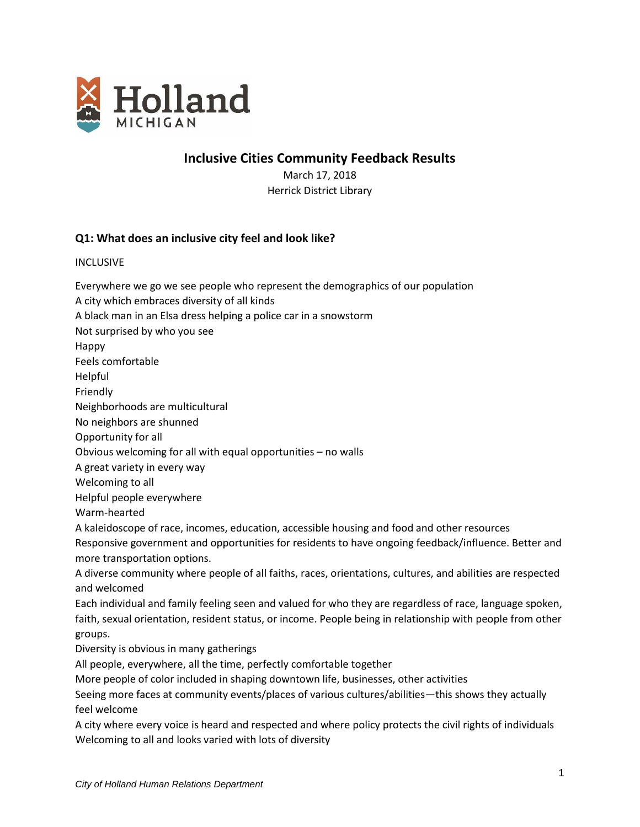

# **Inclusive Cities Community Feedback Results**

March 17, 2018 Herrick District Library

## **Q1: What does an inclusive city feel and look like?**

INCLUSIVE

*City of Holland Human Relations Department* Everywhere we go we see people who represent the demographics of our population A city which embraces diversity of all kinds A black man in an Elsa dress helping a police car in a snowstorm Not surprised by who you see Happy Feels comfortable Helpful Friendly Neighborhoods are multicultural No neighbors are shunned Opportunity for all Obvious welcoming for all with equal opportunities – no walls A great variety in every way Welcoming to all Helpful people everywhere Warm-hearted A kaleidoscope of race, incomes, education, accessible housing and food and other resources Responsive government and opportunities for residents to have ongoing feedback/influence. Better and more transportation options. A diverse community where people of all faiths, races, orientations, cultures, and abilities are respected and welcomed Each individual and family feeling seen and valued for who they are regardless of race, language spoken, faith, sexual orientation, resident status, or income. People being in relationship with people from other groups. Diversity is obvious in many gatherings All people, everywhere, all the time, perfectly comfortable together More people of color included in shaping downtown life, businesses, other activities Seeing more faces at community events/places of various cultures/abilities—this shows they actually feel welcome A city where every voice is heard and respected and where policy protects the civil rights of individuals Welcoming to all and looks varied with lots of diversity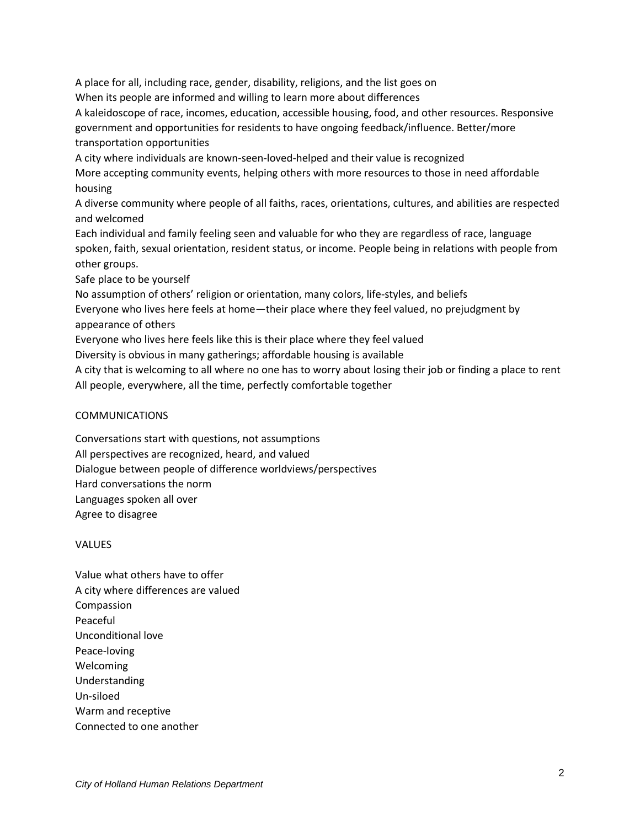A place for all, including race, gender, disability, religions, and the list goes on When its people are informed and willing to learn more about differences A kaleidoscope of race, incomes, education, accessible housing, food, and other resources. Responsive government and opportunities for residents to have ongoing feedback/influence. Better/more transportation opportunities A city where individuals are known-seen-loved-helped and their value is recognized More accepting community events, helping others with more resources to those in need affordable housing A diverse community where people of all faiths, races, orientations, cultures, and abilities are respected and welcomed Each individual and family feeling seen and valuable for who they are regardless of race, language spoken, faith, sexual orientation, resident status, or income. People being in relations with people from other groups. Safe place to be yourself No assumption of others' religion or orientation, many colors, life-styles, and beliefs Everyone who lives here feels at home—their place where they feel valued, no prejudgment by

appearance of others

Everyone who lives here feels like this is their place where they feel valued

Diversity is obvious in many gatherings; affordable housing is available

A city that is welcoming to all where no one has to worry about losing their job or finding a place to rent All people, everywhere, all the time, perfectly comfortable together

#### COMMUNICATIONS

Conversations start with questions, not assumptions All perspectives are recognized, heard, and valued Dialogue between people of difference worldviews/perspectives Hard conversations the norm Languages spoken all over Agree to disagree

VALUES

Value what others have to offer A city where differences are valued Compassion Peaceful Unconditional love Peace-loving Welcoming Understanding Un-siloed Warm and receptive Connected to one another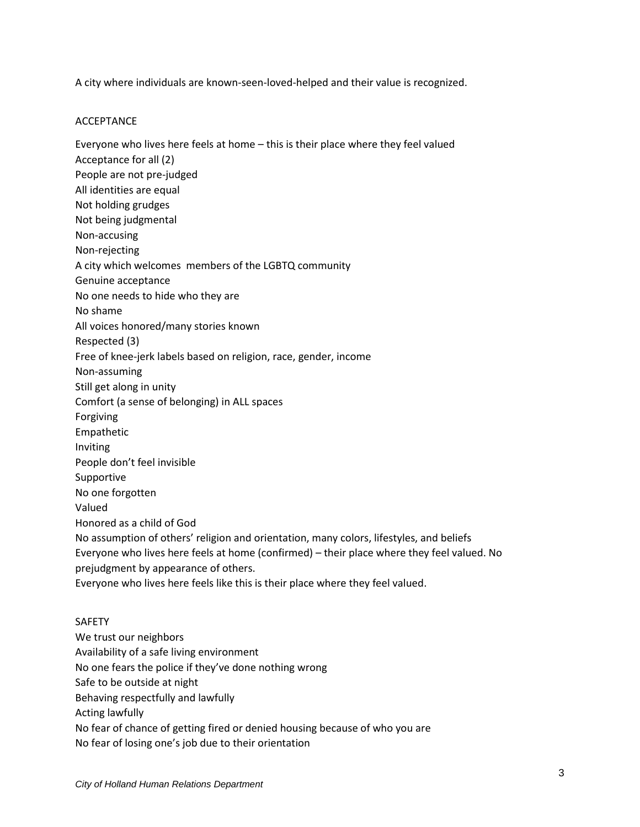A city where individuals are known-seen-loved-helped and their value is recognized.

#### ACCEPTANCE

Everyone who lives here feels at home – this is their place where they feel valued Acceptance for all (2) People are not pre-judged All identities are equal Not holding grudges Not being judgmental Non-accusing Non-rejecting A city which welcomes members of the LGBTQ community Genuine acceptance No one needs to hide who they are No shame All voices honored/many stories known Respected (3) Free of knee-jerk labels based on religion, race, gender, income Non-assuming Still get along in unity Comfort (a sense of belonging) in ALL spaces Forgiving Empathetic Inviting People don't feel invisible Supportive No one forgotten Valued Honored as a child of God No assumption of others' religion and orientation, many colors, lifestyles, and beliefs Everyone who lives here feels at home (confirmed) – their place where they feel valued. No prejudgment by appearance of others. Everyone who lives here feels like this is their place where they feel valued. SAFETY We trust our neighbors Availability of a safe living environment

No one fears the police if they've done nothing wrong

Safe to be outside at night

Behaving respectfully and lawfully

Acting lawfully

No fear of chance of getting fired or denied housing because of who you are

No fear of losing one's job due to their orientation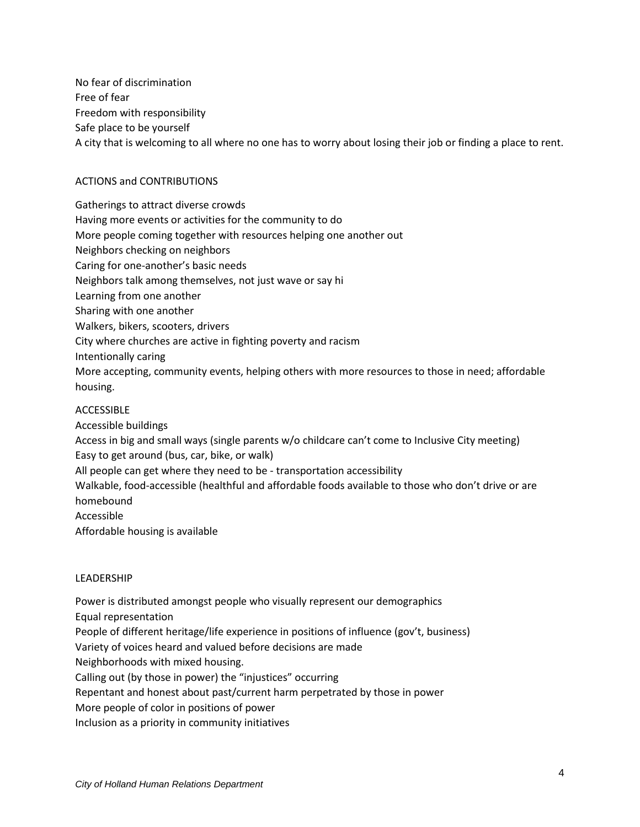No fear of discrimination Free of fear Freedom with responsibility Safe place to be yourself A city that is welcoming to all where no one has to worry about losing their job or finding a place to rent.

## ACTIONS and CONTRIBUTIONS

Gatherings to attract diverse crowds Having more events or activities for the community to do More people coming together with resources helping one another out Neighbors checking on neighbors Caring for one-another's basic needs Neighbors talk among themselves, not just wave or say hi Learning from one another Sharing with one another Walkers, bikers, scooters, drivers City where churches are active in fighting poverty and racism Intentionally caring More accepting, community events, helping others with more resources to those in need; affordable housing.

## ACCESSIBLE

Accessible buildings

Access in big and small ways (single parents w/o childcare can't come to Inclusive City meeting) Easy to get around (bus, car, bike, or walk)

All people can get where they need to be - transportation accessibility

Walkable, food-accessible (healthful and affordable foods available to those who don't drive or are homebound

Accessible

Affordable housing is available

## LEADERSHIP

Power is distributed amongst people who visually represent our demographics Equal representation People of different heritage/life experience in positions of influence (gov't, business) Variety of voices heard and valued before decisions are made Neighborhoods with mixed housing. Calling out (by those in power) the "injustices" occurring Repentant and honest about past/current harm perpetrated by those in power More people of color in positions of power Inclusion as a priority in community initiatives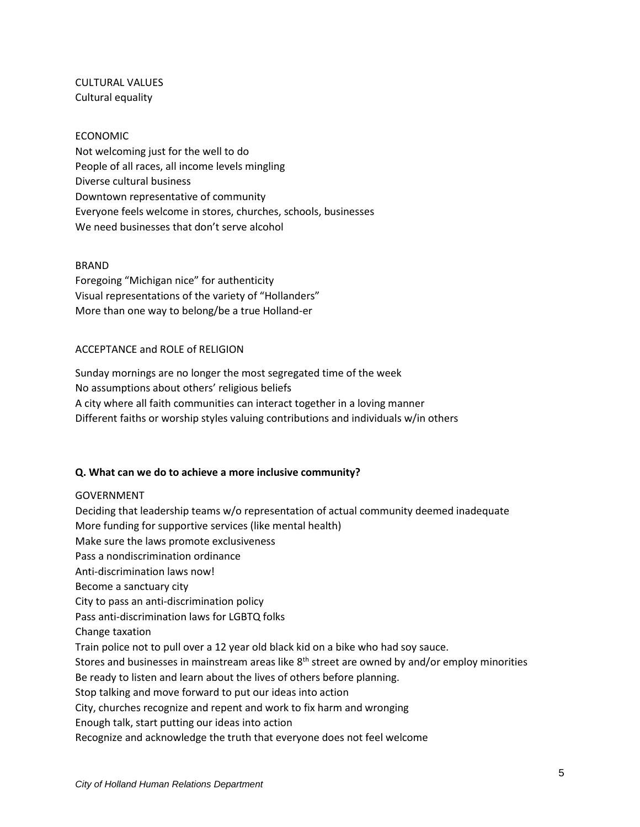CULTURAL VALUES Cultural equality

#### ECONOMIC

Not welcoming just for the well to do People of all races, all income levels mingling Diverse cultural business Downtown representative of community Everyone feels welcome in stores, churches, schools, businesses We need businesses that don't serve alcohol

#### BRAND

Foregoing "Michigan nice" for authenticity Visual representations of the variety of "Hollanders" More than one way to belong/be a true Holland-er

#### ACCEPTANCE and ROLE of RELIGION

Sunday mornings are no longer the most segregated time of the week No assumptions about others' religious beliefs A city where all faith communities can interact together in a loving manner Different faiths or worship styles valuing contributions and individuals w/in others

## **Q. What can we do to achieve a more inclusive community?**

#### GOVERNMENT

Deciding that leadership teams w/o representation of actual community deemed inadequate More funding for supportive services (like mental health) Make sure the laws promote exclusiveness Pass a nondiscrimination ordinance Anti-discrimination laws now! Become a sanctuary city City to pass an anti-discrimination policy Pass anti-discrimination laws for LGBTQ folks Change taxation Train police not to pull over a 12 year old black kid on a bike who had soy sauce. Stores and businesses in mainstream areas like 8<sup>th</sup> street are owned by and/or employ minorities Be ready to listen and learn about the lives of others before planning. Stop talking and move forward to put our ideas into action City, churches recognize and repent and work to fix harm and wronging Enough talk, start putting our ideas into action Recognize and acknowledge the truth that everyone does not feel welcome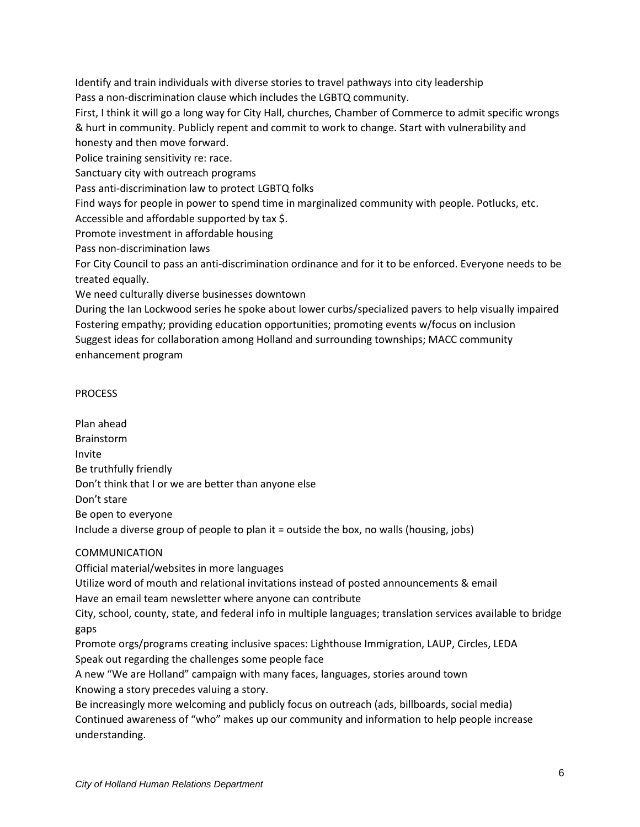Identify and train individuals with diverse stories to travel pathways into city leadership Pass a non-discrimination clause which includes the LGBTQ community.

First, I think it will go a long way for City Hall, churches, Chamber of Commerce to admit specific wrongs & hurt in community. Publicly repent and commit to work to change. Start with vulnerability and honesty and then move forward.

Police training sensitivity re: race.

Sanctuary city with outreach programs

Pass anti-discrimination law to protect LGBTQ folks

Find ways for people in power to spend time in marginalized community with people. Potlucks, etc.

Accessible and affordable supported by tax \$.

Promote investment in affordable housing

Pass non-discrimination laws

For City Council to pass an anti-discrimination ordinance and for it to be enforced. Everyone needs to be treated equally.

We need culturally diverse businesses downtown

During the Ian Lockwood series he spoke about lower curbs/specialized pavers to help visually impaired Fostering empathy; providing education opportunities; promoting events w/focus on inclusion Suggest ideas for collaboration among Holland and surrounding townships; MACC community enhancement program

## PROCESS

Plan ahead Brainstorm Invite Be truthfully friendly Don't think that I or we are better than anyone else Don't stare Be open to everyone Include a diverse group of people to plan it = outside the box, no walls (housing, jobs)

## COMMUNICATION

Official material/websites in more languages

Utilize word of mouth and relational invitations instead of posted announcements & email Have an email team newsletter where anyone can contribute

City, school, county, state, and federal info in multiple languages; translation services available to bridge gaps

Promote orgs/programs creating inclusive spaces: Lighthouse Immigration, LAUP, Circles, LEDA Speak out regarding the challenges some people face

A new "We are Holland" campaign with many faces, languages, stories around town Knowing a story precedes valuing a story.

Be increasingly more welcoming and publicly focus on outreach (ads, billboards, social media) Continued awareness of "who" makes up our community and information to help people increase understanding.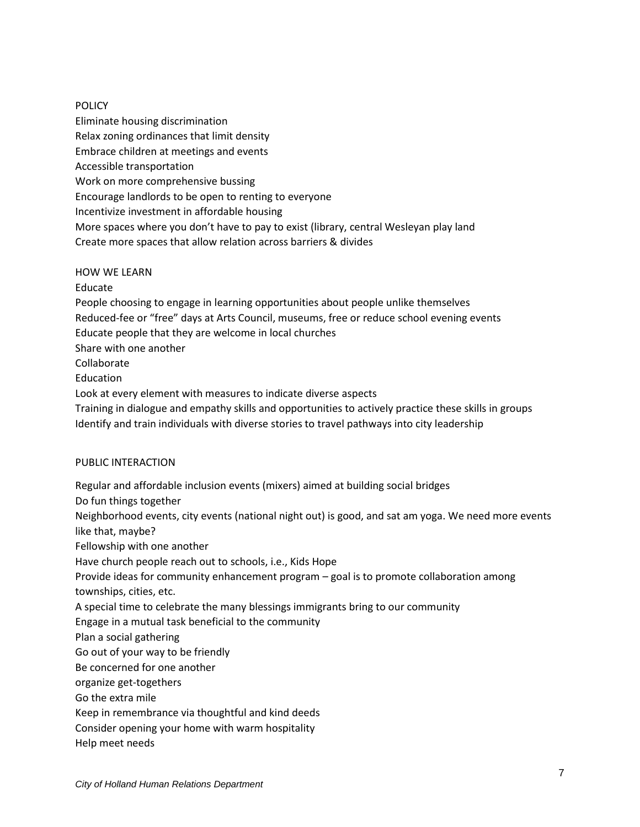#### POLICY

Eliminate housing discrimination Relax zoning ordinances that limit density Embrace children at meetings and events Accessible transportation Work on more comprehensive bussing Encourage landlords to be open to renting to everyone Incentivize investment in affordable housing More spaces where you don't have to pay to exist (library, central Wesleyan play land Create more spaces that allow relation across barriers & divides

HOW WE LEARN Educate People choosing to engage in learning opportunities about people unlike themselves Reduced-fee or "free" days at Arts Council, museums, free or reduce school evening events Educate people that they are welcome in local churches Share with one another Collaborate **Education** Look at every element with measures to indicate diverse aspects Training in dialogue and empathy skills and opportunities to actively practice these skills in groups Identify and train individuals with diverse stories to travel pathways into city leadership

#### PUBLIC INTERACTION

Regular and affordable inclusion events (mixers) aimed at building social bridges Do fun things together Neighborhood events, city events (national night out) is good, and sat am yoga. We need more events like that, maybe? Fellowship with one another Have church people reach out to schools, i.e., Kids Hope Provide ideas for community enhancement program – goal is to promote collaboration among townships, cities, etc. A special time to celebrate the many blessings immigrants bring to our community Engage in a mutual task beneficial to the community Plan a social gathering Go out of your way to be friendly Be concerned for one another organize get-togethers Go the extra mile Keep in remembrance via thoughtful and kind deeds Consider opening your home with warm hospitality Help meet needs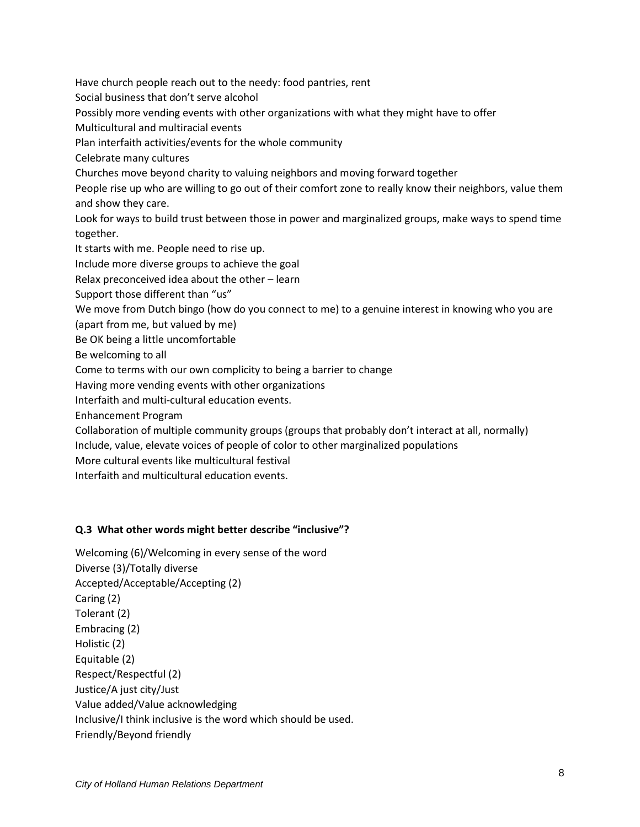Have church people reach out to the needy: food pantries, rent Social business that don't serve alcohol Possibly more vending events with other organizations with what they might have to offer Multicultural and multiracial events Plan interfaith activities/events for the whole community Celebrate many cultures Churches move beyond charity to valuing neighbors and moving forward together People rise up who are willing to go out of their comfort zone to really know their neighbors, value them and show they care. Look for ways to build trust between those in power and marginalized groups, make ways to spend time together. It starts with me. People need to rise up. Include more diverse groups to achieve the goal Relax preconceived idea about the other – learn Support those different than "us" We move from Dutch bingo (how do you connect to me) to a genuine interest in knowing who you are (apart from me, but valued by me) Be OK being a little uncomfortable Be welcoming to all Come to terms with our own complicity to being a barrier to change Having more vending events with other organizations Interfaith and multi-cultural education events. Enhancement Program Collaboration of multiple community groups (groups that probably don't interact at all, normally) Include, value, elevate voices of people of color to other marginalized populations More cultural events like multicultural festival

Interfaith and multicultural education events.

## **Q.3 What other words might better describe "inclusive"?**

Welcoming (6)/Welcoming in every sense of the word Diverse (3)/Totally diverse Accepted/Acceptable/Accepting (2) Caring (2) Tolerant (2) Embracing (2) Holistic (2) Equitable (2) Respect/Respectful (2) Justice/A just city/Just Value added/Value acknowledging Inclusive/I think inclusive is the word which should be used. Friendly/Beyond friendly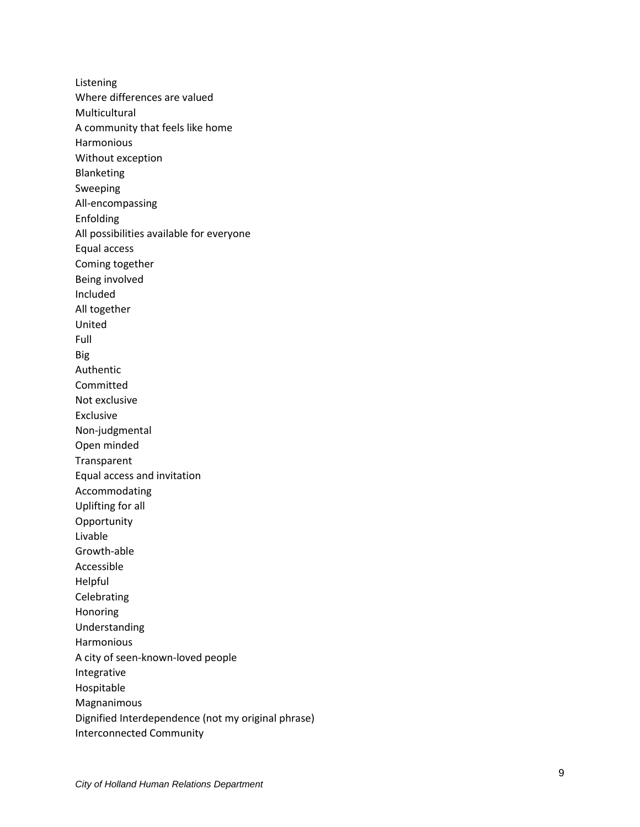Listening Where differences are valued Multicultural A community that feels like home Harmonious Without exception Blanketing Sweeping All -encompassing Enfolding All possibilities available for everyone Equal access Coming together Being involved Included All together United Full Big Authentic Committed Not exclusive Exclusive Non -judgmental Open minded Transparent Equal access and invitation Accommodating Uplifting for all **Opportunity** Livable Growth -able Accessible Helpful Celebrating Honoring Understanding Harmonious A city of seen -known -loved people Integrative Hospitable Magnanimous Dignified Interdependence (not my original phrase) Interconnected Community